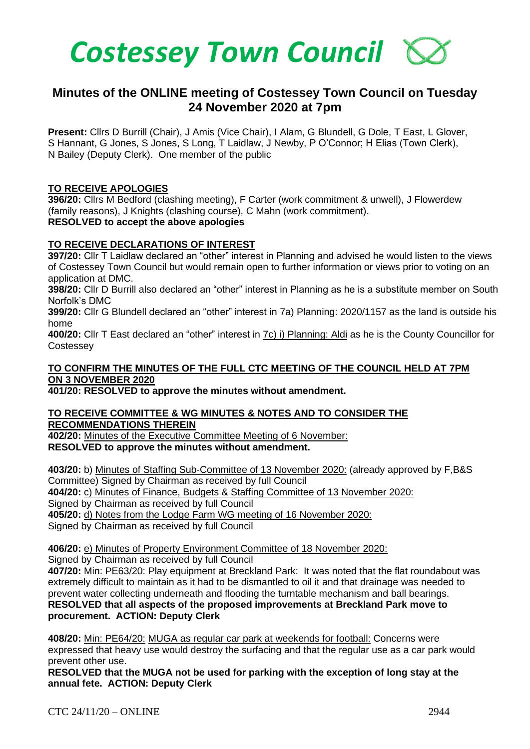

# **Minutes of the ONLINE meeting of Costessey Town Council on Tuesday 24 November 2020 at 7pm**

**Present:** Cllrs D Burrill (Chair), J Amis (Vice Chair), I Alam, G Blundell, G Dole, T East, L Glover, S Hannant, G Jones, S Jones, S Long, T Laidlaw, J Newby, P O'Connor; H Elias (Town Clerk), N Bailey (Deputy Clerk). One member of the public

## **TO RECEIVE APOLOGIES**

**396/20:** Cllrs M Bedford (clashing meeting), F Carter (work commitment & unwell), J Flowerdew (family reasons), J Knights (clashing course), C Mahn (work commitment). **RESOLVED to accept the above apologies** 

#### **TO RECEIVE DECLARATIONS OF INTEREST**

**397/20:** Cllr T Laidlaw declared an "other" interest in Planning and advised he would listen to the views of Costessey Town Council but would remain open to further information or views prior to voting on an application at DMC.

**398/20:** Cllr D Burrill also declared an "other" interest in Planning as he is a substitute member on South Norfolk's DMC

**399/20:** Cllr G Blundell declared an "other" interest in 7a) Planning: 2020/1157 as the land is outside his home

**400/20:** Cllr T East declared an "other" interest in 7c) i) Planning: Aldi as he is the County Councillor for **Costessey** 

## **TO CONFIRM THE MINUTES OF THE FULL CTC MEETING OF THE COUNCIL HELD AT 7PM ON 3 NOVEMBER 2020**

**401/20: RESOLVED to approve the minutes without amendment.** 

## **TO RECEIVE COMMITTEE & WG MINUTES & NOTES AND TO CONSIDER THE RECOMMENDATIONS THEREIN**

**402/20:** Minutes of the Executive Committee Meeting of 6 November: **RESOLVED to approve the minutes without amendment.** 

**403/20:** b) Minutes of Staffing Sub-Committee of 13 November 2020: (already approved by F,B&S Committee) Signed by Chairman as received by full Council **404/20:** c) Minutes of Finance, Budgets & Staffing Committee of 13 November 2020: Signed by Chairman as received by full Council **405/20:** d) Notes from the Lodge Farm WG meeting of 16 November 2020: Signed by Chairman as received by full Council

**406/20:** e) Minutes of Property Environment Committee of 18 November 2020: Signed by Chairman as received by full Council

**407/20:** Min: PE63/20: Play equipment at Breckland Park: It was noted that the flat roundabout was extremely difficult to maintain as it had to be dismantled to oil it and that drainage was needed to prevent water collecting underneath and flooding the turntable mechanism and ball bearings. **RESOLVED that all aspects of the proposed improvements at Breckland Park move to procurement. ACTION: Deputy Clerk**

**408/20:** Min: PE64/20: MUGA as regular car park at weekends for football: Concerns were expressed that heavy use would destroy the surfacing and that the regular use as a car park would prevent other use.

**RESOLVED that the MUGA not be used for parking with the exception of long stay at the annual fete. ACTION: Deputy Clerk**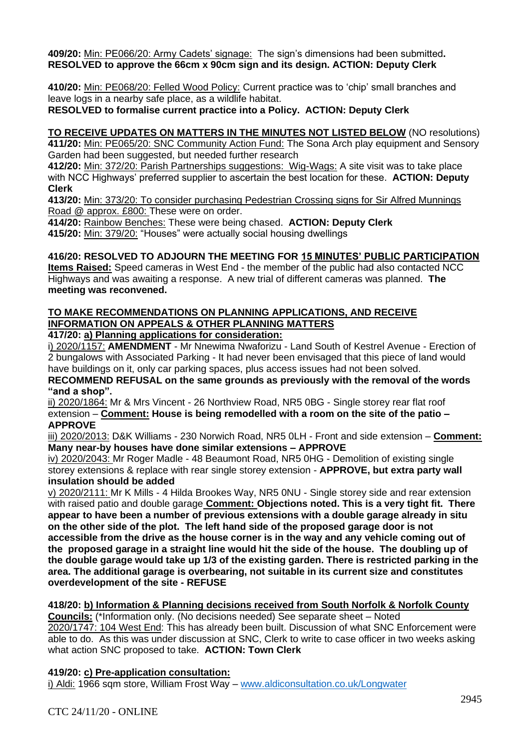**409/20:** Min: PE066/20: Army Cadets' signage:The sign's dimensions had been submitted**. RESOLVED to approve the 66cm x 90cm sign and its design. ACTION: Deputy Clerk**

**410/20:** Min: PE068/20: Felled Wood Policy: Current practice was to 'chip' small branches and leave logs in a nearby safe place, as a wildlife habitat.

**RESOLVED to formalise current practice into a Policy. ACTION: Deputy Clerk**

**TO RECEIVE UPDATES ON MATTERS IN THE MINUTES NOT LISTED BELOW** (NO resolutions) **411/20:** Min: PE065/20: SNC Community Action Fund: The Sona Arch play equipment and Sensory Garden had been suggested, but needed further research

**412/20:** Min: 372/20: Parish Partnerships suggestions: Wig-Wags: A site visit was to take place with NCC Highways' preferred supplier to ascertain the best location for these. **ACTION: Deputy Clerk**

**413/20:** Min: 373/20: To consider purchasing Pedestrian Crossing signs for Sir Alfred Munnings Road @ approx. £800: These were on order.

**414/20:** Rainbow Benches: These were being chased. **ACTION: Deputy Clerk 415/20:** Min: 379/20: "Houses" were actually social housing dwellings

## **416/20: RESOLVED TO ADJOURN THE MEETING FOR 15 MINUTES' PUBLIC PARTICIPATION**

**Items Raised:** Speed cameras in West End - the member of the public had also contacted NCC Highways and was awaiting a response. A new trial of different cameras was planned. **The meeting was reconvened.**

#### **TO MAKE RECOMMENDATIONS ON PLANNING APPLICATIONS, AND RECEIVE INFORMATION ON APPEALS & OTHER PLANNING MATTERS 417/20: a) Planning applications for consideration:**

i) 2020/1157: **AMENDMENT** - Mr Nnewima Nwaforizu - Land South of Kestrel Avenue - Erection of 2 bungalows with Associated Parking - It had never been envisaged that this piece of land would have buildings on it, only car parking spaces, plus access issues had not been solved.

**RECOMMEND REFUSAL on the same grounds as previously with the removal of the words "and a shop".** 

ii) 2020/1864: Mr & Mrs Vincent - 26 Northview Road, NR5 0BG - Single storey rear flat roof extension – **Comment: House is being remodelled with a room on the site of the patio – APPROVE**

iii) 2020/2013: D&K Williams - 230 Norwich Road, NR5 0LH - Front and side extension – **Comment: Many near-by houses have done similar extensions – APPROVE**

iv) 2020/2043: Mr Roger Madle - 48 Beaumont Road, NR5 0HG - Demolition of existing single storey extensions & replace with rear single storey extension - **APPROVE, but extra party wall insulation should be added**

v) 2020/2111: Mr K Mills - 4 Hilda Brookes Way, NR5 0NU - Single storey side and rear extension with raised patio and double garage **Comment: Objections noted. This is a very tight fit. There appear to have been a number of previous extensions with a double garage already in situ on the other side of the plot. The left hand side of the proposed garage door is not accessible from the drive as the house corner is in the way and any vehicle coming out of the proposed garage in a straight line would hit the side of the house. The doubling up of the double garage would take up 1/3 of the existing garden. There is restricted parking in the area. The additional garage is overbearing, not suitable in its current size and constitutes overdevelopment of the site - REFUSE**

## **418/20: b) Information & Planning decisions received from South Norfolk & Norfolk County**

**Councils:** (\*Information only. (No decisions needed) See separate sheet – Noted 2020/1747: 104 West End: This has already been built. Discussion of what SNC Enforcement were able to do. As this was under discussion at SNC, Clerk to write to case officer in two weeks asking what action SNC proposed to take. **ACTION: Town Clerk**

## **419/20: c) Pre-application consultation:**

i) Aldi: 1966 sqm store, William Frost Way – [www.aldiconsultation.co.uk/Longwater](http://www.aldiconsultation.co.uk/Longwater)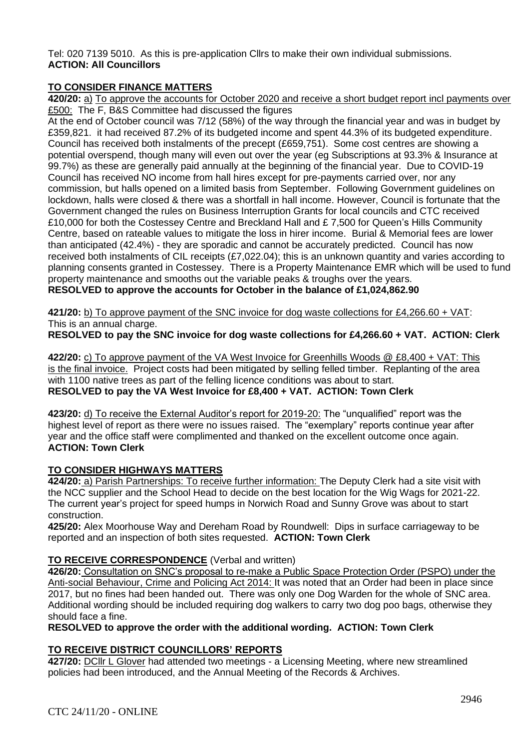Tel: 020 7139 5010. As this is pre-application Cllrs to make their own individual submissions. **ACTION: All Councillors**

## **TO CONSIDER FINANCE MATTERS**

**420/20:** a) To approve the accounts for October 2020 and receive a short budget report incl payments over £500: The F, B&S Committee had discussed the figures

At the end of October council was 7/12 (58%) of the way through the financial year and was in budget by £359,821. it had received 87.2% of its budgeted income and spent 44.3% of its budgeted expenditure. Council has received both instalments of the precept (£659,751). Some cost centres are showing a potential overspend, though many will even out over the year (eg Subscriptions at 93.3% & Insurance at 99.7%) as these are generally paid annually at the beginning of the financial year. Due to COVID-19 Council has received NO income from hall hires except for pre-payments carried over, nor any commission, but halls opened on a limited basis from September. Following Government guidelines on lockdown, halls were closed & there was a shortfall in hall income. However, Council is fortunate that the Government changed the rules on Business Interruption Grants for local councils and CTC received £10,000 for both the Costessey Centre and Breckland Hall and £ 7,500 for Queen's Hills Community Centre, based on rateable values to mitigate the loss in hirer income. Burial & Memorial fees are lower than anticipated (42.4%) - they are sporadic and cannot be accurately predicted. Council has now received both instalments of CIL receipts (£7,022.04); this is an unknown quantity and varies according to planning consents granted in Costessey. There is a Property Maintenance EMR which will be used to fund property maintenance and smooths out the variable peaks & troughs over the years. **RESOLVED to approve the accounts for October in the balance of £1,024,862.90**

**421/20:** b) To approve payment of the SNC invoice for dog waste collections for £4,266.60 + VAT: This is an annual charge.

**RESOLVED to pay the SNC invoice for dog waste collections for £4,266.60 + VAT. ACTION: Clerk**

**422/20:** c) To approve payment of the VA West Invoice for Greenhills Woods @ £8,400 + VAT: This is the final invoice. Project costs had been mitigated by selling felled timber. Replanting of the area with 1100 native trees as part of the felling licence conditions was about to start. **RESOLVED to pay the VA West Invoice for £8,400 + VAT. ACTION: Town Clerk**

**423/20:** d) To receive the External Auditor's report for 2019-20: The "unqualified" report was the highest level of report as there were no issues raised. The "exemplary" reports continue year after year and the office staff were complimented and thanked on the excellent outcome once again. **ACTION: Town Clerk**

## **TO CONSIDER HIGHWAYS MATTERS**

**424/20:** a) Parish Partnerships: To receive further information: The Deputy Clerk had a site visit with the NCC supplier and the School Head to decide on the best location for the Wig Wags for 2021-22. The current year's project for speed humps in Norwich Road and Sunny Grove was about to start construction.

**425/20:** Alex Moorhouse Way and Dereham Road by Roundwell: Dips in surface carriageway to be reported and an inspection of both sites requested. **ACTION: Town Clerk**

## **TO RECEIVE CORRESPONDENCE** (Verbal and written)

**426/20:** Consultation on SNC's proposal to re-make a Public Space Protection Order (PSPO) under the Anti-social Behaviour, Crime and Policing Act 2014: It was noted that an Order had been in place since 2017, but no fines had been handed out. There was only one Dog Warden for the whole of SNC area. Additional wording should be included requiring dog walkers to carry two dog poo bags, otherwise they should face a fine.

**RESOLVED to approve the order with the additional wording. ACTION: Town Clerk**

## **TO RECEIVE DISTRICT COUNCILLORS' REPORTS**

**427/20:** DCllr L Glover had attended two meetings - a Licensing Meeting, where new streamlined policies had been introduced, and the Annual Meeting of the Records & Archives.